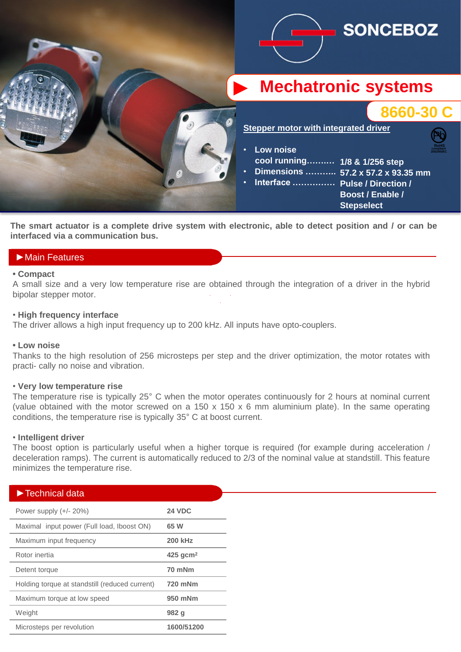

The smart actuator is a complete drive system with electronic, able to detect position and / or can be **interfaced via a communication bus.**

# ►Main Features

#### **• Compact**

► bipolar stepper motor. A small size and a very low temperature rise are obtained through the integration of a driver in the hybrid

### • **High frequency interface**

The driver allows a high input frequency up to 200 kHz. All inputs have opto-couplers.

### **• Low noise**

Thanks to the high resolution of 256 microsteps per step and the driver optimization, the motor rotates with practi- cally no noise and vibration.

## • **Very low temperature rise**

The temperature rise is typically 25° C when the motor operates continuously for 2 hours at nominal current (value obtained with the motor screwed on a 150 x 150 x 6 mm aluminium plate). In the same operating conditions, the temperature rise is typically 35° C at boost current.

### • **Intelligent driver**

The boost option is particularly useful when a higher torque is required (for example during acceleration / deceleration ramps). The current is automatically reduced to 2/3 of the nominal value at standstill. This feature minimizes the temperature rise.

| $\blacktriangleright$ Technical data           |                        |
|------------------------------------------------|------------------------|
|                                                |                        |
| Power supply $(+/- 20%)$                       | <b>24 VDC</b>          |
| Maximal input power (Full load, Iboost ON)     | 65 W                   |
| Maximum input frequency                        | <b>200 kHz</b>         |
| Rotor inertia                                  | $425$ gcm <sup>2</sup> |
| Detent torque                                  | 70 mNm                 |
| Holding torque at standstill (reduced current) | 720 mNm                |
| Maximum torque at low speed                    | 950 mNm                |
| Weight                                         | 982 q                  |
| Microsteps per revolution                      | 1600/51200             |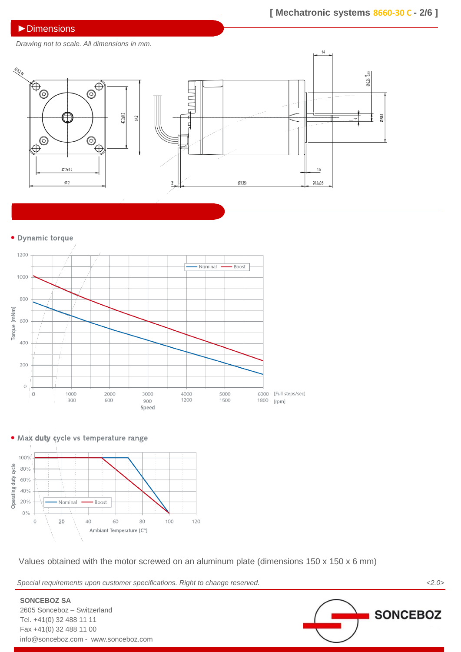## ►Dimensions

*Drawing not to scale. All dimensions in mm.*



#### · Dynamic torque





**SONCEBOZ SA**

2605 Sonceboz – Switzerland Tel. +41(0) 32 488 11 11 Fax +41(0) 32 488 11 00



Values obtained with the motor screwed on an aluminum plate (dimensions 150 x 150 x 6 mm)

*Special requirements upon customer specifications. Right to change reserved. <2.0>*

**SONCEBOZ** info@sonceboz.com - www.sonceboz.com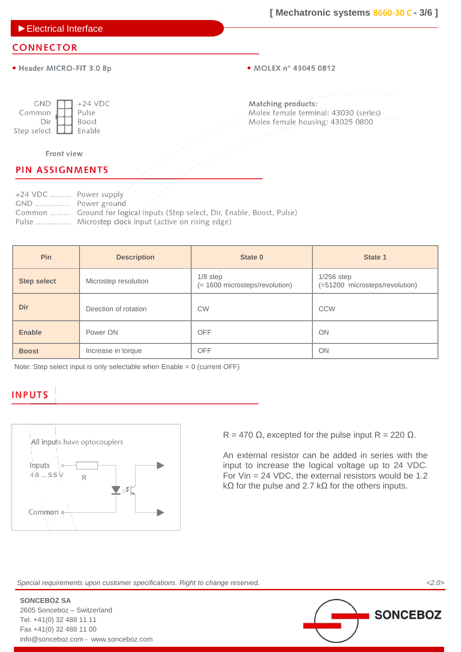►Electrical Interface

## **CONNECTOR**

· Header MICRO-FIT 3.0 8p

• MOLEX n° 43045 0812

| gnd         | $+24$ VDC    |
|-------------|--------------|
| Common      | Pulse        |
| Dir         | <b>Boost</b> |
| Step select | Enable       |

Matching products: Molex female terminal: 43030 (series) Molex female housing: 43025 0800

### Front view

# **PIN ASSIGNMENTS**

+24 VDC ......... Power supply GND ............... Power ground Common ......... Ground for logical inputs (Step select, Dir, Enable, Boost, Pulse) Pulse ............... Microstep clock input (active on rising edge)

| Pin                | <b>Description</b>    | State 0                                      | State 1                                        |
|--------------------|-----------------------|----------------------------------------------|------------------------------------------------|
| <b>Step select</b> | Microstep resolution  | $1/8$ step<br>(= 1600 microsteps/revolution) | $1/256$ step<br>(=51200 microsteps/revolution) |
| Dir                | Direction of rotation | <b>CW</b>                                    | <b>CCW</b>                                     |
| <b>Enable</b>      | Power ON              | <b>OFF</b>                                   | ON                                             |
| <b>Boost</b>       | Increase in torque    | <b>OFF</b>                                   | ON                                             |

Note: Step select input is only selectable when Enable = 0 (current OFF)

# **INPUTS**



R = 470  $\Omega$ , excepted for the pulse input R = 220  $\Omega$ .

An external resistor can be added in series with the input to increase the logical voltage up to 24 VDC. For Vin = 24 VDC, the external resistors would be 1.2 k $\Omega$  for the pulse and 2.7 k $\Omega$  for the others inputs.

*Special requirements upon customer specifications. Right to change reserved. <2.0>*

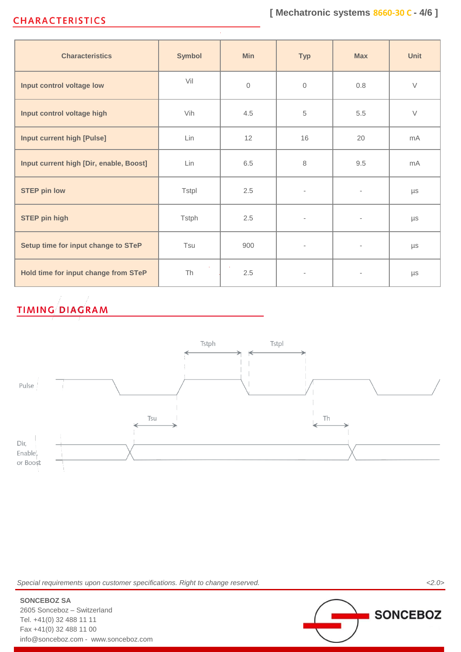# **CHARACTERISTICS**

| <b>Characteristics</b>                  | <b>Symbol</b> | <b>Min</b>   | <b>Typ</b>               | <b>Max</b>               | Unit    |
|-----------------------------------------|---------------|--------------|--------------------------|--------------------------|---------|
| Input control voltage low               | Vil           | $\mathbf{0}$ | $\mathbf{0}$             | 0.8                      | $\vee$  |
| Input control voltage high              | Vih           | 4.5          | 5                        | 5.5                      | $\vee$  |
| <b>Input current high [Pulse]</b>       | Lin           | 12           | 16                       | 20                       | mA      |
| Input current high [Dir, enable, Boost] | Lin           | 6.5          | 8                        | 9.5                      | mA      |
| <b>STEP pin low</b>                     | Tstpl         | 2.5          | $\overline{\phantom{a}}$ | $\overline{\phantom{a}}$ | μs      |
| <b>STEP pin high</b>                    | <b>Tstph</b>  | 2.5          | $\overline{\phantom{a}}$ | $\overline{\phantom{a}}$ | $\mu s$ |
| Setup time for input change to STeP     | Tsu           | 900          | $\overline{\phantom{a}}$ | $\overline{\phantom{a}}$ | $\mu s$ |
| Hold time for input change from STeP    | Th            | 2.5          | $\overline{\phantom{a}}$ |                          | $\mu s$ |

# **TIMING DIAGRAM**



*Special requirements upon customer specifications. Right to change reserved. <2.0>*

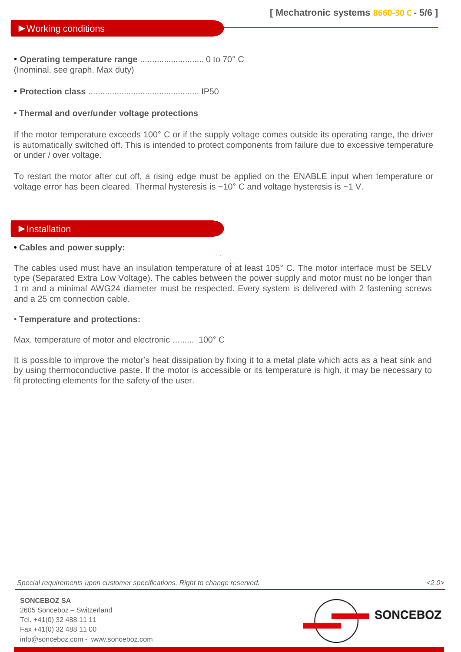## ►Working conditions

• **Operating temperature range** ........................... 0 to 70° C (Inominal, see graph. Max duty)

• **Protection class** ............................................... IP50

## **• Thermal and over/under voltage protections**

If the motor temperature exceeds 100° C or if the supply voltage comes outside its operating range, the driver is automatically switched off. This is intended to protect components from failure due to excessive temperature or under / over voltage.

To restart the motor after cut off, a rising edge must be applied on the ENABLE input when temperature or voltage error has been cleared. Thermal hysteresis is ~10° C and voltage hysteresis is ~1 V.

## ►Installation

### **• Cables and power supply:**

The cables used must have an insulation temperature of at least 105° C. The motor interface must be SELV type (Separated Extra Low Voltage). The cables between the power supply and motor must no be longer than 1 m and a minimal AWG24 diameter must be respected. Every system is delivered with 2 fastening screws and a 25 cm connection cable.

### • **Temperature and protections:**

Max. temperature of motor and electronic ......... 100° C

It is possible to improve the motor's heat dissipation by fixing it to a metal plate which acts as a heat sink and by using thermoconductive paste. If the motor is accessible or its temperature is high, it may be necessary to fit protecting elements for the safety of the user.

*Special requirements upon customer specifications. Right to change reserved. <2.0>*